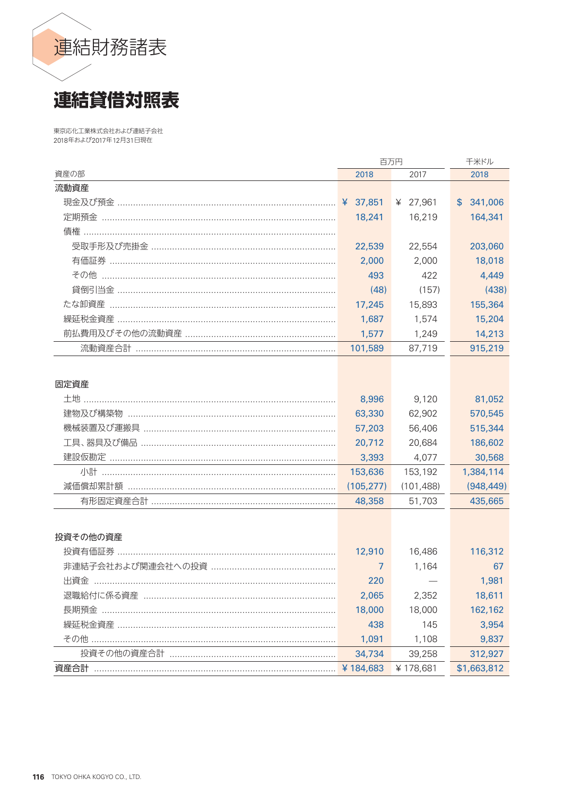

東京応化工業株式会社および連結子会社 2018年および2017年12月31日現在

|                                     | 百万円        | 千米ドル       |             |
|-------------------------------------|------------|------------|-------------|
| 資産の部                                | 2018       | 2018       |             |
| 流動資産                                |            |            |             |
|                                     |            | ¥ 27,961   | \$341,006   |
| 定期預金 ……………………………………………………………………………… | 18,241     | 16,219     | 164,341     |
|                                     |            |            |             |
|                                     | 22,539     | 22,554     | 203,060     |
|                                     | 2,000      | 2,000      | 18,018      |
|                                     | 493        | 422        | 4,449       |
|                                     | (48)       | (157)      | (438)       |
|                                     | 17,245     | 15,893     | 155,364     |
|                                     | 1,687      | 1,574      | 15,204      |
|                                     | 1,577      | 1,249      | 14,213      |
|                                     | 101,589    | 87,719     | 915,219     |
|                                     |            |            |             |
|                                     |            |            |             |
| 固定資産                                |            |            |             |
| 土地 ………………………………………………………………………………   | 8,996      | 9,120      | 81,052      |
|                                     | 63,330     | 62,902     | 570,545     |
|                                     | 57,203     | 56,406     | 515,344     |
|                                     | 20,712     | 20,684     | 186,602     |
|                                     | 3,393      | 4,077      | 30,568      |
|                                     | 153,636    | 153,192    | 1,384,114   |
|                                     | (105, 277) | (101, 488) | (948, 449)  |
|                                     | 48,358     | 51,703     | 435,665     |
|                                     |            |            |             |
| 投資その他の資産                            |            |            |             |
|                                     | 12,910     | 16,486     | 116,312     |
|                                     | 7          | 1,164      | 67          |
| 出資金                                 | 220        |            | 1,981       |
|                                     | 2,065      | 2,352      | 18,611      |
| 長期預金 …………………………………………………………………………   | 18,000     | 18,000     | 162,162     |
|                                     | 438        | 145        | 3,954       |
|                                     | 1,091      | 1,108      | 9,837       |
|                                     | 34,734     | 39,258     | 312,927     |
| 資産合計                                | ¥184,683   | ¥178,681   | \$1,663,812 |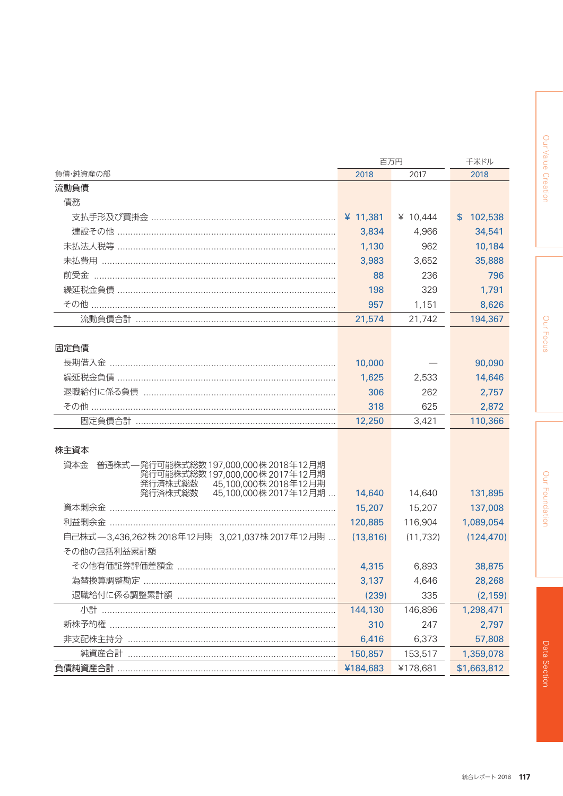|                                                                    | 百万円        | 千米ドル      |               |  |
|--------------------------------------------------------------------|------------|-----------|---------------|--|
| 負債・純資産の部                                                           | 2018       | 2018      |               |  |
| 流動負債                                                               |            |           |               |  |
| 債務                                                                 |            |           |               |  |
|                                                                    | ¥ $11,381$ | ¥ 10,444  | 102,538<br>\$ |  |
|                                                                    | 3,834      | 4,966     | 34,541        |  |
|                                                                    | 1,130      | 962       | 10,184        |  |
| 未払費用 …………………………………………………………………………                                  | 3,983      | 3,652     | 35,888        |  |
| 前受金 ……………………………………………………………………………                                  | 88         | 236       | 796           |  |
|                                                                    | 198        | 329       | 1,791         |  |
|                                                                    | 957        | 1,151     | 8,626         |  |
|                                                                    | 21,574     | 21,742    | 194,367       |  |
|                                                                    |            |           |               |  |
| 固定負債                                                               |            |           |               |  |
| 長期借入金 ………………………………………………………………………                                  | 10,000     |           | 90,090        |  |
|                                                                    | 1,625      | 2,533     | 14,646        |  |
|                                                                    | 306        | 262       | 2,757         |  |
|                                                                    | 318        | 625       | 2,872         |  |
|                                                                    | 12,250     | 3,421     | 110,366       |  |
|                                                                    |            |           |               |  |
| 株主資本                                                               |            |           |               |  |
| 資本金 普通株式––発行可能株式総数 197,000,000株 2018年12月期                          |            |           |               |  |
| 発行可能株式総数 197,000,000株 2017年12月期<br>45,100,000株2018年12月期<br>発行済株式総数 |            |           |               |  |
| 45,100,000株2017年12月期<br>発行済株式総数                                    | 14,640     | 14,640    | 131,895       |  |
| 資本剰余金 ………………………………………………………………………                                  | 15,207     | 15,207    | 137,008       |  |
|                                                                    | 120,885    | 116,904   | 1,089,054     |  |
| 自己株式—3,436,262株 2018年12月期 3,021,037株 2017年12月期                     | (13, 816)  | (11, 732) | (124, 470)    |  |
| その他の包括利益累計額                                                        |            |           |               |  |
|                                                                    | 4,315      | 6,893     | 38,875        |  |
| 為替換算調整勘定                                                           | 3,137      | 4,646     | 28,268        |  |
|                                                                    | (239)      | 335       | (2, 159)      |  |
|                                                                    | 144,130    | 146,896   | 1,298,471     |  |
|                                                                    | 310        | 247       | 2,797         |  |
| 非支配株主持分                                                            | 6,416      | 6,373     | 57,808        |  |
| 純資産合計                                                              | 150,857    | 153,517   | 1,359,078     |  |
|                                                                    | ¥184,683   | ¥178,681  | \$1,663,812   |  |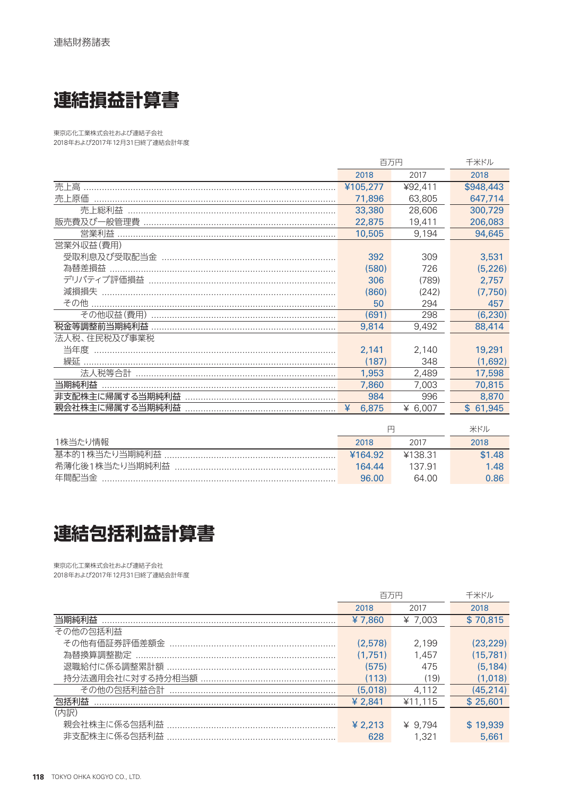

東京応化工業株式会社および連結子会社 2018年および2017年12月31日終了連結会計年度

|                                   | 百万円        | 千米ドル    |              |
|-----------------------------------|------------|---------|--------------|
|                                   | 2018       | 2017    | 2018         |
| 売上高                               | ¥105,277   | ¥92,411 | \$948,443    |
| 売上原価                              | 71,896     | 63,805  | 647,714      |
| 売上総利益                             | 33,380     | 28,606  | 300,729      |
| 販売費及び一般管理費                        | 22,875     | 19,411  | 206,083      |
| 営業利益                              | 10,505     | 9.194   | 94,645       |
| 営業外収益(費用)                         |            |         |              |
|                                   | 392        | 309     | 3,531        |
| 為替差損益                             | (580)      | 726     | (5, 226)     |
|                                   | 306        | (789)   | 2.757        |
| 減損損失                              | (860)      | (242)   | (7,750)      |
| その他                               | 50         | 294     | 457          |
|                                   | (691)      | 298     | (6, 230)     |
|                                   | 9,814      | 9,492   | 88,414       |
| 法人税、住民税及び事業税                      |            |         |              |
| 当年度 …………………………………………………………………………… | 2.141      | 2,140   | 19,291       |
| 繰延                                | (187)      | 348     | (1,692)      |
|                                   | 1,953      | 2,489   | 17,598       |
| 当期純利益                             | 7,860      | 7.003   | 70,815       |
| 非支配株主に帰属する当期純利益                   | 984        | 996     | 8,870        |
| 親会社株主に帰属する当期純利益                   | ¥<br>6,875 | ¥ 6.007 | 61,945<br>\$ |
|                                   |            |         |              |

|               |         | 米ドル     |        |
|---------------|---------|---------|--------|
| 1株当たり情報       | 2018    | 2017    | 2018   |
| 基本的1株当たり当期純利益 | ¥164.92 | ¥138.31 | \$1.48 |
|               | 164.44  | 137.91  | 1.48   |
| 年間配当金         | 96.00   | 64.00   | 0.86   |

## 連結包括利益計算書

東京応化工業株式会社および連結子会社 2018年および2017年12月31日終了連結会計年度

|          | 百万円     | 千米ドル      |           |
|----------|---------|-----------|-----------|
|          | 2018    | 2017      | 2018      |
| 当期純利益    | ¥7.860  | $*7.003$  | \$70,815  |
| その他の包括利益 |         |           |           |
|          | (2,578) | 2.199     | (23, 229) |
|          | (1.751) | 1.457     | (15, 781) |
|          | (575)   | 475       | (5, 184)  |
|          | (113)   | (19)      | (1,018)   |
|          | (5.018) | 4.112     | (45,214)  |
| 包括利益     | ¥ 2.841 | ¥11.115   | \$25,601  |
| (内訳)     |         |           |           |
|          | ¥ 2,213 | $¥$ 9.794 | \$19,939  |
|          | 628     | 1.321     | 5,661     |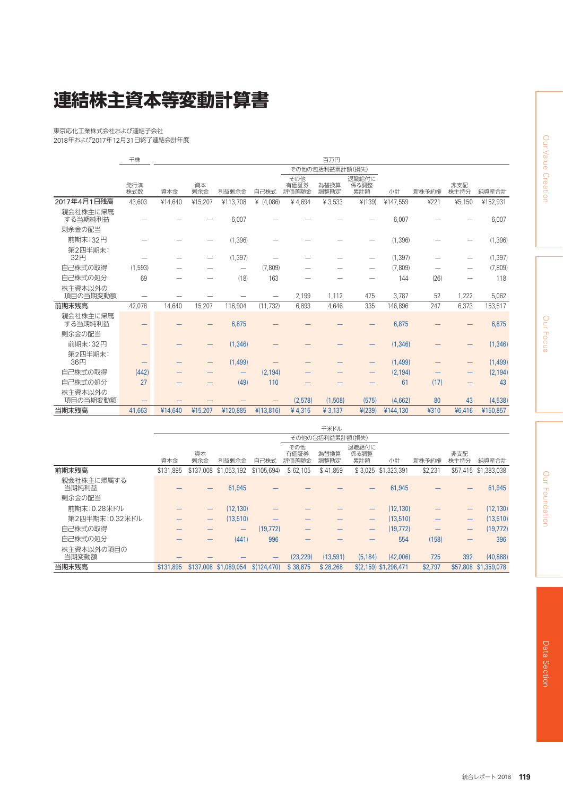## **連結株主資本等変動計算書**

東京応化工業株式会社および連結子会社 2018年および2017年12月31日終了連結会計年度

|                     | 千株         |         |                 |          |             |                      | 百万円          |                      |          |       |                                |          |
|---------------------|------------|---------|-----------------|----------|-------------|----------------------|--------------|----------------------|----------|-------|--------------------------------|----------|
|                     |            |         | その他の包括利益累計額(損失) |          |             |                      |              |                      |          |       |                                |          |
|                     | 発行済<br>株式数 | 資本金     | 資本<br>剰余金       | 利益剰余金    | 自己株式        | その他<br>有価証券<br>評価差額金 | 為替換算<br>調整勘定 | 退職給付に<br>係る調整<br>累計額 | 小計       | 新株予約権 | 非支配<br>株主持分                    | 純資産合計    |
| 2017年4月1日残高         | 43.603     | ¥14.640 | ¥15,207         | ¥113,708 | ¥ $(4,086)$ | ¥4,694               | 43,533       | ¥(139)               | ¥147,559 | 4221  | ¥5,150                         | ¥152,931 |
| 親会社株主に帰属<br>する当期純利益 |            |         |                 | 6,007    |             |                      |              |                      | 6,007    |       |                                | 6,007    |
| 剰余金の配当              |            |         |                 |          |             |                      |              |                      |          |       |                                |          |
| 前期末:32円             |            |         |                 | (1, 396) |             |                      |              |                      | (1, 396) |       |                                | (1, 396) |
| 第2四半期末:<br>32円      |            |         |                 | (1, 397) |             |                      |              | —                    | (1, 397) |       | -                              | (1, 397) |
| 白己株式の取得             | (1, 593)   |         |                 | —        | (7,809)     |                      |              | $\qquad \qquad$      | (7,809)  |       | $\overline{\phantom{0}}$       | (7,809)  |
| 自己株式の処分             | 69         |         |                 | (18)     | 163         |                      |              |                      | 144      | (26)  | -                              | 118      |
| 株主資本以外の<br>項目の当期変動額 |            |         |                 |          | —           | 2,199                | 1.112        | 475                  | 3.787    | 52    | 1,222                          | 5,062    |
| 前期末残高               | 42,078     | 14,640  | 15,207          | 116,904  | (11, 732)   | 6,893                | 4,646        | 335                  | 146,896  | 247   | 6,373                          | 153,517  |
| 親会社株主に帰属<br>する当期純利益 |            |         |                 | 6,875    |             |                      |              |                      | 6,875    |       |                                | 6,875    |
| 剰余金の配当              |            |         |                 |          |             |                      |              |                      |          |       |                                |          |
| 前期末:32円             |            |         |                 | (1, 346) |             |                      |              |                      | (1, 346) |       |                                | (1, 346) |
| 第2四半期末:<br>36円      |            |         |                 | (1,499)  |             |                      |              |                      | (1,499)  |       | $\qquad \qquad \longleftarrow$ | (1,499)  |
| 白己株式の取得             | (442)      |         |                 |          | (2, 194)    |                      |              |                      | (2, 194) |       |                                | (2, 194) |
| 自己株式の処分             | 27         |         |                 | (49)     | 110         |                      |              |                      | 61       | (17)  |                                | 43       |
| 株主資本以外の<br>項目の当期変動額 |            |         |                 |          | -           | (2,578)              | (1,508)      | (575)                | (4,662)  | 80    | 43                             | (4,538)  |
| 当期末残高               | 41,663     | ¥14,640 | ¥15,207         | ¥120,885 | 4(13,816)   | ¥4,315               | ¥ 3,137      | 4(239)               | ¥144,130 | ¥310  | ¥6,416                         | ¥150,857 |

|                     |                 |           |                                |              |                      | 千米ドル         |                      |                       |         |             |                      |
|---------------------|-----------------|-----------|--------------------------------|--------------|----------------------|--------------|----------------------|-----------------------|---------|-------------|----------------------|
|                     | その他の包括利益累計額(損失) |           |                                |              |                      |              |                      |                       |         |             |                      |
|                     | 資本金             | 資本<br>剰余金 | 利益剰余金                          | 自己株式         | その他<br>有価証券<br>評価差額金 | 為替換算<br>調整勘定 | 退職給付に<br>係る調整<br>累計額 | 小計                    | 新株予約権   | 非支配<br>株主持分 | 純資産合計                |
| 前期末残高               | \$131.895       | \$137,008 | \$1,053,192                    | \$(105, 694) | \$62,105             | \$41.859     | \$3.025              | \$1,323,391           | \$2,231 |             | \$57,415 \$1,383,038 |
| 親会社株主に帰属する<br>当期純利益 |                 |           | 61,945                         |              |                      |              |                      | 61,945                |         |             | 61,945               |
| 剰余金の配当              |                 |           |                                |              |                      |              |                      |                       |         |             |                      |
| 前期末:0.28米ドル         |                 | –         | (12, 130)                      |              |                      |              |                      | (12, 130)             |         | –           | (12, 130)            |
| 第2四半期末:0.32米ドル      |                 | —         | (13,510)                       |              |                      |              |                      | (13,510)              |         | —           | (13,510)             |
| 白己株式の取得             |                 |           | $\qquad \qquad \longleftarrow$ | (19, 772)    |                      |              |                      | (19, 772)             |         | —           | (19, 772)            |
| 自己株式の処分             |                 |           | (441)                          | 996          |                      |              |                      | 554                   | (158)   | –           | 396                  |
| 株主資本以外の項目の<br>当期変動額 |                 |           |                                | –            | (23, 229)            | (13,591)     | (5, 184)             | (42,006)              | 725     | 392         | (40, 888)            |
| 当期末残高               | \$131,895       |           | \$137,008 \$1,089,054          | \$(124, 470) | \$38,875             | \$28,268     |                      | \$(2,159) \$1,298,471 | \$2,797 |             | \$57,808 \$1,359,078 |